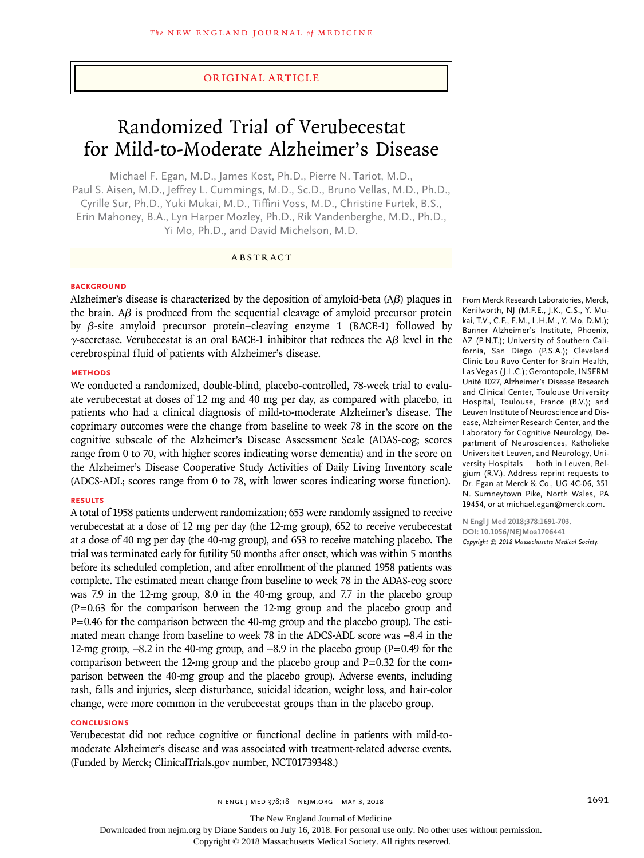#### Original Article

# Randomized Trial of Verubecestat for Mild-to-Moderate Alzheimer's Disease

Michael F. Egan, M.D., James Kost, Ph.D., Pierre N. Tariot, M.D., Paul S. Aisen, M.D., Jeffrey L. Cummings, M.D., Sc.D., Bruno Vellas, M.D., Ph.D., Cyrille Sur, Ph.D., Yuki Mukai, M.D., Tiffini Voss, M.D., Christine Furtek, B.S., Erin Mahoney, B.A., Lyn Harper Mozley, Ph.D., Rik Vandenberghe, M.D., Ph.D., Yi Mo, Ph.D., and David Michelson, M.D.

# ABSTRACT

## **BACKGROUND**

Alzheimer's disease is characterized by the deposition of amyloid-beta  $(A\beta)$  plaques in the brain. Aβ is produced from the sequential cleavage of amyloid precursor protein by β-site amyloid precursor protein–cleaving enzyme 1 (BACE-1) followed by  $γ$ -secretase. Verubecestat is an oral BACE-1 inhibitor that reduces the A $β$  level in the cerebrospinal fluid of patients with Alzheimer's disease.

#### **METHODS**

We conducted a randomized, double-blind, placebo-controlled, 78-week trial to evaluate verubecestat at doses of 12 mg and 40 mg per day, as compared with placebo, in patients who had a clinical diagnosis of mild-to-moderate Alzheimer's disease. The coprimary outcomes were the change from baseline to week 78 in the score on the cognitive subscale of the Alzheimer's Disease Assessment Scale (ADAS-cog; scores range from 0 to 70, with higher scores indicating worse dementia) and in the score on the Alzheimer's Disease Cooperative Study Activities of Daily Living Inventory scale (ADCS-ADL; scores range from 0 to 78, with lower scores indicating worse function).

#### **RESULTS**

A total of 1958 patients underwent randomization; 653 were randomly assigned to receive verubecestat at a dose of 12 mg per day (the 12-mg group), 652 to receive verubecestat at a dose of 40 mg per day (the 40-mg group), and 653 to receive matching placebo. The trial was terminated early for futility 50 months after onset, which was within 5 months before its scheduled completion, and after enrollment of the planned 1958 patients was complete. The estimated mean change from baseline to week 78 in the ADAS-cog score was 7.9 in the 12-mg group, 8.0 in the 40-mg group, and 7.7 in the placebo group  $(P=0.63)$  for the comparison between the 12-mg group and the placebo group and  $P=0.46$  for the comparison between the 40-mg group and the placebo group). The estimated mean change from baseline to week 78 in the ADCS-ADL score was −8.4 in the 12-mg group, −8.2 in the 40-mg group, and −8.9 in the placebo group (P=0.49 for the comparison between the 12-mg group and the placebo group and  $P=0.32$  for the comparison between the 40-mg group and the placebo group). Adverse events, including rash, falls and injuries, sleep disturbance, suicidal ideation, weight loss, and hair-color change, were more common in the verubecestat groups than in the placebo group.

#### **CONCLUSIONS**

Verubecestat did not reduce cognitive or functional decline in patients with mild-tomoderate Alzheimer's disease and was associated with treatment-related adverse events. (Funded by Merck; ClinicalTrials.gov number, NCT01739348.)

From Merck Research Laboratories, Merck, Kenilworth, NJ (M.F.E., J.K., C.S., Y. Mukai, T.V., C.F., E.M., L.H.M., Y. Mo, D.M.); Banner Alzheimer's Institute, Phoenix, AZ (P.N.T.); University of Southern California, San Diego (P.S.A.); Cleveland Clinic Lou Ruvo Center for Brain Health, Las Vegas (J.L.C.); Gerontopole, INSERM Unité 1027, Alzheimer's Disease Research and Clinical Center, Toulouse University Hospital, Toulouse, France (B.V.); and Leuven Institute of Neuroscience and Disease, Alzheimer Research Center, and the Laboratory for Cognitive Neurology, Department of Neurosciences, Katholieke Universiteit Leuven, and Neurology, University Hospitals — both in Leuven, Belgium (R.V.). Address reprint requests to Dr. Egan at Merck & Co., UG 4C-06, 351 N. Sumneytown Pike, North Wales, PA 19454, or at michael.egan@merck.com.

**N Engl J Med 2018;378:1691-703. DOI: 10.1056/NEJMoa1706441** *Copyright © 2018 Massachusetts Medical Society.*

The New England Journal of Medicine

Downloaded from nejm.org by Diane Sanders on July 16, 2018. For personal use only. No other uses without permission.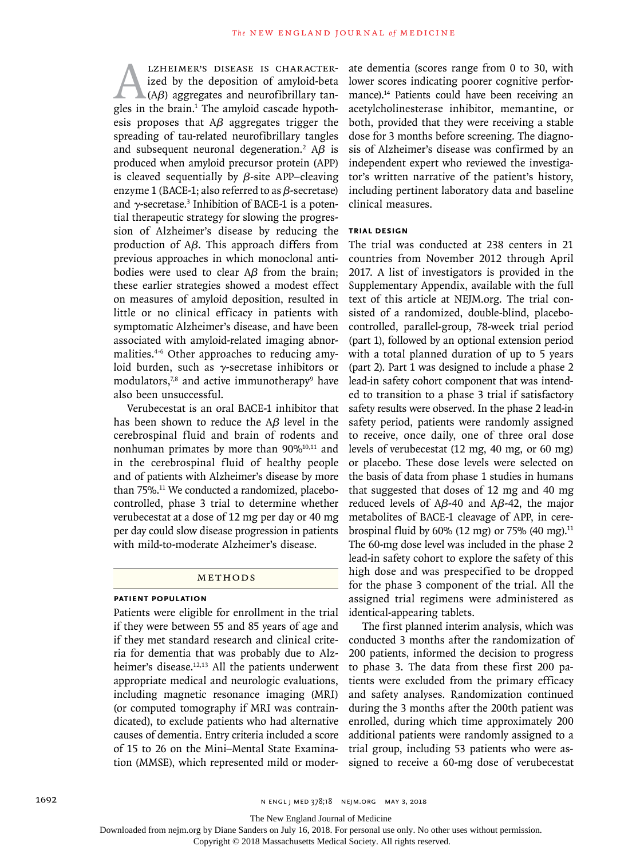LZHEIMER'S DISEASE IS CHARACTER-<br>ized by the deposition of amyloid-beta<br> $(A\beta)$  aggregates and neurofibrillary tan-<br>gles in the brain.<sup>1</sup> The amyloid cascade hypothized by the deposition of amyloid-beta (A $\beta$ ) aggregates and neurofibrillary tangles in the brain.<sup>1</sup> The amyloid cascade hypothesis proposes that  $\overrightarrow{AB}$  aggregates trigger the spreading of tau-related neurofibrillary tangles and subsequent neuronal degeneration.<sup>2</sup> A $\beta$  is produced when amyloid precursor protein (APP) is cleaved sequentially by  $\beta$ -site APP–cleaving enzyme 1 (BACE-1; also referred to as  $\beta$ -secretase) and  $\gamma$ -secretase.<sup>3</sup> Inhibition of BACE-1 is a potential therapeutic strategy for slowing the progression of Alzheimer's disease by reducing the production of Aβ. This approach differs from previous approaches in which monoclonal antibodies were used to clear Aβ from the brain; these earlier strategies showed a modest effect on measures of amyloid deposition, resulted in little or no clinical efficacy in patients with symptomatic Alzheimer's disease, and have been associated with amyloid-related imaging abnormalities.4-6 Other approaches to reducing amyloid burden, such as γ-secretase inhibitors or  $modulators<sub>1</sub><sup>7,8</sup>$  and active immunotherapy<sup>9</sup> have also been unsuccessful.

Verubecestat is an oral BACE-1 inhibitor that has been shown to reduce the Aβ level in the cerebrospinal fluid and brain of rodents and nonhuman primates by more than 90%<sup>10,11</sup> and in the cerebrospinal fluid of healthy people and of patients with Alzheimer's disease by more than 75%.<sup>11</sup> We conducted a randomized, placebocontrolled, phase 3 trial to determine whether verubecestat at a dose of 12 mg per day or 40 mg per day could slow disease progression in patients with mild-to-moderate Alzheimer's disease.

#### Methods

# **Patient Population**

Patients were eligible for enrollment in the trial if they were between 55 and 85 years of age and if they met standard research and clinical criteria for dementia that was probably due to Alzheimer's disease.<sup>12,13</sup> All the patients underwent appropriate medical and neurologic evaluations, including magnetic resonance imaging (MRI) (or computed tomography if MRI was contraindicated), to exclude patients who had alternative causes of dementia. Entry criteria included a score of 15 to 26 on the Mini–Mental State Examination (MMSE), which represented mild or moderate dementia (scores range from 0 to 30, with lower scores indicating poorer cognitive performance).<sup>14</sup> Patients could have been receiving an acetylcholinesterase inhibitor, memantine, or both, provided that they were receiving a stable dose for 3 months before screening. The diagnosis of Alzheimer's disease was confirmed by an independent expert who reviewed the investigator's written narrative of the patient's history, including pertinent laboratory data and baseline clinical measures.

#### **Trial Design**

The trial was conducted at 238 centers in 21 countries from November 2012 through April 2017. A list of investigators is provided in the Supplementary Appendix, available with the full text of this article at NEJM.org. The trial consisted of a randomized, double-blind, placebocontrolled, parallel-group, 78-week trial period (part 1), followed by an optional extension period with a total planned duration of up to 5 years (part 2). Part 1 was designed to include a phase 2 lead-in safety cohort component that was intended to transition to a phase 3 trial if satisfactory safety results were observed. In the phase 2 lead-in safety period, patients were randomly assigned to receive, once daily, one of three oral dose levels of verubecestat (12 mg, 40 mg, or 60 mg) or placebo. These dose levels were selected on the basis of data from phase 1 studies in humans that suggested that doses of 12 mg and 40 mg reduced levels of  $Aβ-40$  and  $Aβ-42$ , the major metabolites of BACE-1 cleavage of APP, in cerebrospinal fluid by  $60\%$  (12 mg) or 75% (40 mg).<sup>11</sup> The 60-mg dose level was included in the phase 2 lead-in safety cohort to explore the safety of this high dose and was prespecified to be dropped for the phase 3 component of the trial. All the assigned trial regimens were administered as identical-appearing tablets.

The first planned interim analysis, which was conducted 3 months after the randomization of 200 patients, informed the decision to progress to phase 3. The data from these first 200 patients were excluded from the primary efficacy and safety analyses. Randomization continued during the 3 months after the 200th patient was enrolled, during which time approximately 200 additional patients were randomly assigned to a trial group, including 53 patients who were assigned to receive a 60-mg dose of verubecestat

The New England Journal of Medicine

Downloaded from nejm.org by Diane Sanders on July 16, 2018. For personal use only. No other uses without permission.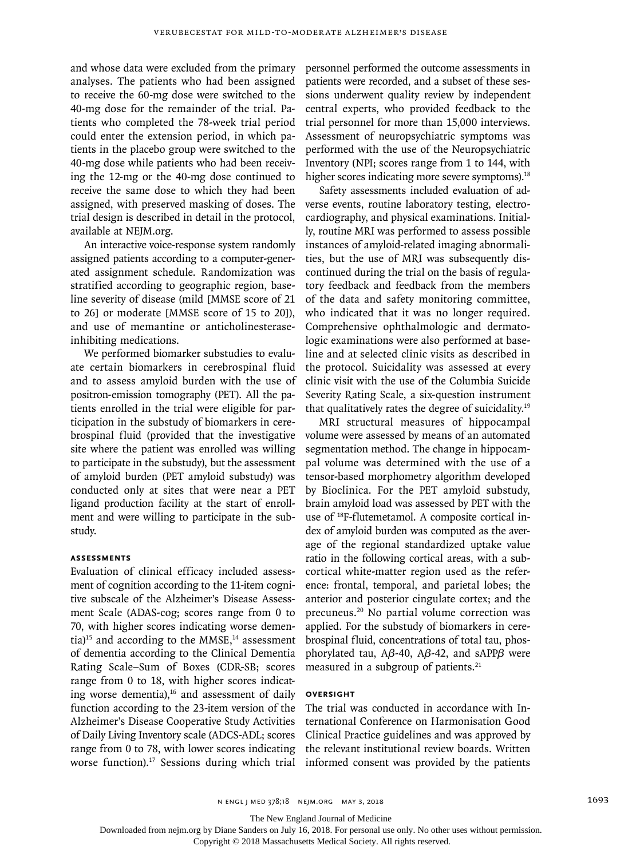and whose data were excluded from the primary analyses. The patients who had been assigned to receive the 60-mg dose were switched to the 40-mg dose for the remainder of the trial. Patients who completed the 78-week trial period could enter the extension period, in which patients in the placebo group were switched to the 40-mg dose while patients who had been receiving the 12-mg or the 40-mg dose continued to receive the same dose to which they had been assigned, with preserved masking of doses. The trial design is described in detail in the protocol, available at NEJM.org.

An interactive voice-response system randomly assigned patients according to a computer-generated assignment schedule. Randomization was stratified according to geographic region, baseline severity of disease (mild [MMSE score of 21 to 26] or moderate [MMSE score of 15 to 20]), and use of memantine or anticholinesteraseinhibiting medications.

We performed biomarker substudies to evaluate certain biomarkers in cerebrospinal fluid and to assess amyloid burden with the use of positron-emission tomography (PET). All the patients enrolled in the trial were eligible for participation in the substudy of biomarkers in cerebrospinal fluid (provided that the investigative site where the patient was enrolled was willing to participate in the substudy), but the assessment of amyloid burden (PET amyloid substudy) was conducted only at sites that were near a PET ligand production facility at the start of enrollment and were willing to participate in the substudy.

#### **Assessments**

Evaluation of clinical efficacy included assessment of cognition according to the 11-item cognitive subscale of the Alzheimer's Disease Assessment Scale (ADAS-cog; scores range from 0 to 70, with higher scores indicating worse dementia) $15$  and according to the MMSE, $14$  assessment of dementia according to the Clinical Dementia Rating Scale–Sum of Boxes (CDR-SB; scores range from 0 to 18, with higher scores indicating worse dementia), $16$  and assessment of daily function according to the 23-item version of the Alzheimer's Disease Cooperative Study Activities of Daily Living Inventory scale (ADCS-ADL; scores range from 0 to 78, with lower scores indicating worse function).<sup>17</sup> Sessions during which trial personnel performed the outcome assessments in patients were recorded, and a subset of these sessions underwent quality review by independent central experts, who provided feedback to the trial personnel for more than 15,000 interviews. Assessment of neuropsychiatric symptoms was performed with the use of the Neuropsychiatric Inventory (NPI; scores range from 1 to 144, with higher scores indicating more severe symptoms).<sup>18</sup>

Safety assessments included evaluation of adverse events, routine laboratory testing, electrocardiography, and physical examinations. Initially, routine MRI was performed to assess possible instances of amyloid-related imaging abnormalities, but the use of MRI was subsequently discontinued during the trial on the basis of regulatory feedback and feedback from the members of the data and safety monitoring committee, who indicated that it was no longer required. Comprehensive ophthalmologic and dermatologic examinations were also performed at baseline and at selected clinic visits as described in the protocol. Suicidality was assessed at every clinic visit with the use of the Columbia Suicide Severity Rating Scale, a six-question instrument that qualitatively rates the degree of suicidality.19

MRI structural measures of hippocampal volume were assessed by means of an automated segmentation method. The change in hippocampal volume was determined with the use of a tensor-based morphometry algorithm developed by Bioclinica. For the PET amyloid substudy, brain amyloid load was assessed by PET with the use of 18F-flutemetamol. A composite cortical index of amyloid burden was computed as the average of the regional standardized uptake value ratio in the following cortical areas, with a subcortical white-matter region used as the reference: frontal, temporal, and parietal lobes; the anterior and posterior cingulate cortex; and the precuneus.20 No partial volume correction was applied. For the substudy of biomarkers in cerebrospinal fluid, concentrations of total tau, phosphorylated tau, Aβ-40, Aβ-42, and sAPPβ were measured in a subgroup of patients.<sup>21</sup>

# **Oversight**

The trial was conducted in accordance with International Conference on Harmonisation Good Clinical Practice guidelines and was approved by the relevant institutional review boards. Written informed consent was provided by the patients

The New England Journal of Medicine

Downloaded from nejm.org by Diane Sanders on July 16, 2018. For personal use only. No other uses without permission.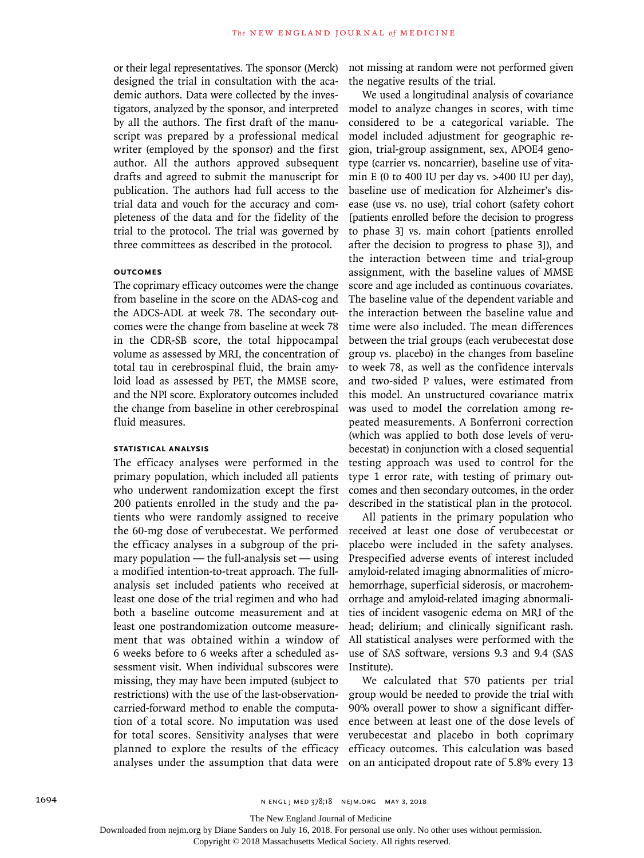or their legal representatives. The sponsor (Merck) designed the trial in consultation with the academic authors. Data were collected by the investigators, analyzed by the sponsor, and interpreted by all the authors. The first draft of the manuscript was prepared by a professional medical writer (employed by the sponsor) and the first author. All the authors approved subsequent drafts and agreed to submit the manuscript for publication. The authors had full access to the trial data and vouch for the accuracy and completeness of the data and for the fidelity of the trial to the protocol. The trial was governed by three committees as described in the protocol.

#### **Outcomes**

The coprimary efficacy outcomes were the change from baseline in the score on the ADAS-cog and the ADCS-ADL at week 78. The secondary outcomes were the change from baseline at week 78 in the CDR-SB score, the total hippocampal volume as assessed by MRI, the concentration of total tau in cerebrospinal fluid, the brain amyloid load as assessed by PET, the MMSE score, and the NPI score. Exploratory outcomes included the change from baseline in other cerebrospinal fluid measures.

#### **Statistical Analysis**

The efficacy analyses were performed in the primary population, which included all patients who underwent randomization except the first 200 patients enrolled in the study and the patients who were randomly assigned to receive the 60-mg dose of verubecestat. We performed the efficacy analyses in a subgroup of the primary population — the full-analysis set — using a modified intention-to-treat approach. The fullanalysis set included patients who received at least one dose of the trial regimen and who had both a baseline outcome measurement and at least one postrandomization outcome measurement that was obtained within a window of 6 weeks before to 6 weeks after a scheduled assessment visit. When individual subscores were missing, they may have been imputed (subject to restrictions) with the use of the last-observationcarried-forward method to enable the computation of a total score. No imputation was used for total scores. Sensitivity analyses that were planned to explore the results of the efficacy

not missing at random were not performed given the negative results of the trial.

We used a longitudinal analysis of covariance model to analyze changes in scores, with time considered to be a categorical variable. The model included adjustment for geographic region, trial-group assignment, sex, APOE4 genotype (carrier vs. noncarrier), baseline use of vitamin E (0 to 400 IU per day vs. >400 IU per day), baseline use of medication for Alzheimer's disease (use vs. no use), trial cohort (safety cohort [patients enrolled before the decision to progress to phase 3] vs. main cohort [patients enrolled after the decision to progress to phase 3]), and the interaction between time and trial-group assignment, with the baseline values of MMSE score and age included as continuous covariates. The baseline value of the dependent variable and the interaction between the baseline value and time were also included. The mean differences between the trial groups (each verubecestat dose group vs. placebo) in the changes from baseline to week 78, as well as the confidence intervals and two-sided P values, were estimated from this model. An unstructured covariance matrix was used to model the correlation among repeated measurements. A Bonferroni correction (which was applied to both dose levels of verubecestat) in conjunction with a closed sequential testing approach was used to control for the type 1 error rate, with testing of primary outcomes and then secondary outcomes, in the order described in the statistical plan in the protocol.

All patients in the primary population who received at least one dose of verubecestat or placebo were included in the safety analyses. Prespecified adverse events of interest included amyloid-related imaging abnormalities of microhemorrhage, superficial siderosis, or macrohemorrhage and amyloid-related imaging abnormalities of incident vasogenic edema on MRI of the head; delirium; and clinically significant rash. All statistical analyses were performed with the use of SAS software, versions 9.3 and 9.4 (SAS Institute).

analyses under the assumption that data were on an anticipated dropout rate of 5.8% every 13 We calculated that 570 patients per trial group would be needed to provide the trial with 90% overall power to show a significant difference between at least one of the dose levels of verubecestat and placebo in both coprimary efficacy outcomes. This calculation was based

The New England Journal of Medicine

Downloaded from nejm.org by Diane Sanders on July 16, 2018. For personal use only. No other uses without permission.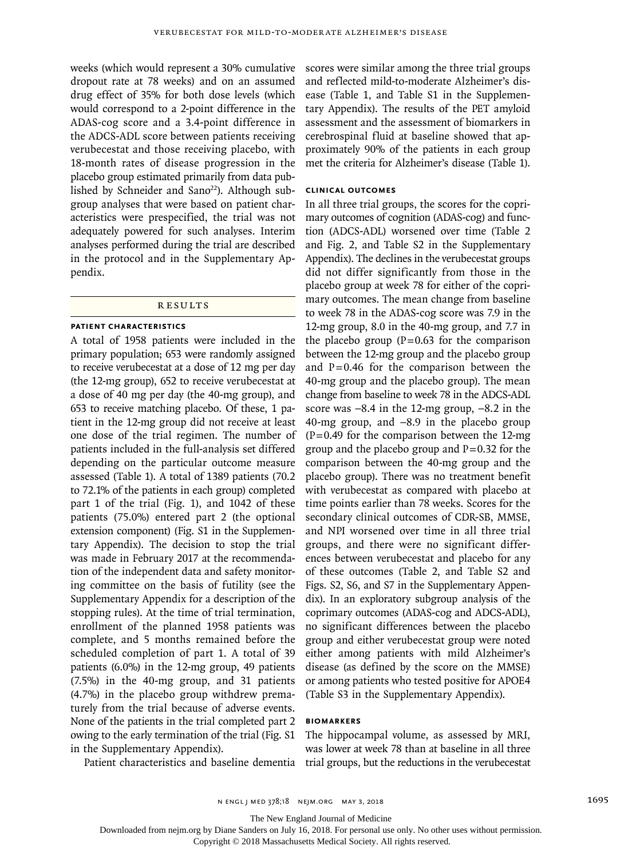weeks (which would represent a 30% cumulative dropout rate at 78 weeks) and on an assumed drug effect of 35% for both dose levels (which would correspond to a 2-point difference in the ADAS-cog score and a 3.4-point difference in the ADCS-ADL score between patients receiving verubecestat and those receiving placebo, with 18-month rates of disease progression in the placebo group estimated primarily from data published by Schneider and Sano<sup>22</sup>). Although subgroup analyses that were based on patient characteristics were prespecified, the trial was not adequately powered for such analyses. Interim analyses performed during the trial are described in the protocol and in the Supplementary Appendix.

## **RESULTS**

### **Patient Characteristics**

A total of 1958 patients were included in the primary population; 653 were randomly assigned to receive verubecestat at a dose of 12 mg per day (the 12-mg group), 652 to receive verubecestat at a dose of 40 mg per day (the 40-mg group), and 653 to receive matching placebo. Of these, 1 patient in the 12-mg group did not receive at least one dose of the trial regimen. The number of patients included in the full-analysis set differed depending on the particular outcome measure assessed (Table 1). A total of 1389 patients (70.2 to 72.1% of the patients in each group) completed part 1 of the trial (Fig. 1), and 1042 of these patients (75.0%) entered part 2 (the optional extension component) (Fig. S1 in the Supplementary Appendix). The decision to stop the trial was made in February 2017 at the recommendation of the independent data and safety monitoring committee on the basis of futility (see the Supplementary Appendix for a description of the stopping rules). At the time of trial termination, enrollment of the planned 1958 patients was complete, and 5 months remained before the scheduled completion of part 1. A total of 39 patients (6.0%) in the 12-mg group, 49 patients (7.5%) in the 40-mg group, and 31 patients (4.7%) in the placebo group withdrew prematurely from the trial because of adverse events. None of the patients in the trial completed part 2 owing to the early termination of the trial (Fig. S1 in the Supplementary Appendix).

scores were similar among the three trial groups and reflected mild-to-moderate Alzheimer's disease (Table 1, and Table S1 in the Supplementary Appendix). The results of the PET amyloid assessment and the assessment of biomarkers in cerebrospinal fluid at baseline showed that approximately 90% of the patients in each group met the criteria for Alzheimer's disease (Table 1).

# **Clinical Outcomes**

In all three trial groups, the scores for the coprimary outcomes of cognition (ADAS-cog) and function (ADCS-ADL) worsened over time (Table 2 and Fig. 2, and Table S2 in the Supplementary Appendix). The declines in the verubecestat groups did not differ significantly from those in the placebo group at week 78 for either of the coprimary outcomes. The mean change from baseline to week 78 in the ADAS-cog score was 7.9 in the 12-mg group, 8.0 in the 40-mg group, and 7.7 in the placebo group  $(P=0.63$  for the comparison between the 12-mg group and the placebo group and  $P=0.46$  for the comparison between the 40-mg group and the placebo group). The mean change from baseline to week 78 in the ADCS-ADL score was  $-8.4$  in the 12-mg group,  $-8.2$  in the 40-mg group, and −8.9 in the placebo group  $(P=0.49$  for the comparison between the 12-mg group and the placebo group and  $P=0.32$  for the comparison between the 40-mg group and the placebo group). There was no treatment benefit with verubecestat as compared with placebo at time points earlier than 78 weeks. Scores for the secondary clinical outcomes of CDR-SB, MMSE, and NPI worsened over time in all three trial groups, and there were no significant differences between verubecestat and placebo for any of these outcomes (Table 2, and Table S2 and Figs. S2, S6, and S7 in the Supplementary Appendix). In an exploratory subgroup analysis of the coprimary outcomes (ADAS-cog and ADCS-ADL), no significant differences between the placebo group and either verubecestat group were noted either among patients with mild Alzheimer's disease (as defined by the score on the MMSE) or among patients who tested positive for APOE4 (Table S3 in the Supplementary Appendix).

## **Biomarkers**

Patient characteristics and baseline dementia trial groups, but the reductions in the verubecestat The hippocampal volume, as assessed by MRI, was lower at week 78 than at baseline in all three

The New England Journal of Medicine

Downloaded from nejm.org by Diane Sanders on July 16, 2018. For personal use only. No other uses without permission.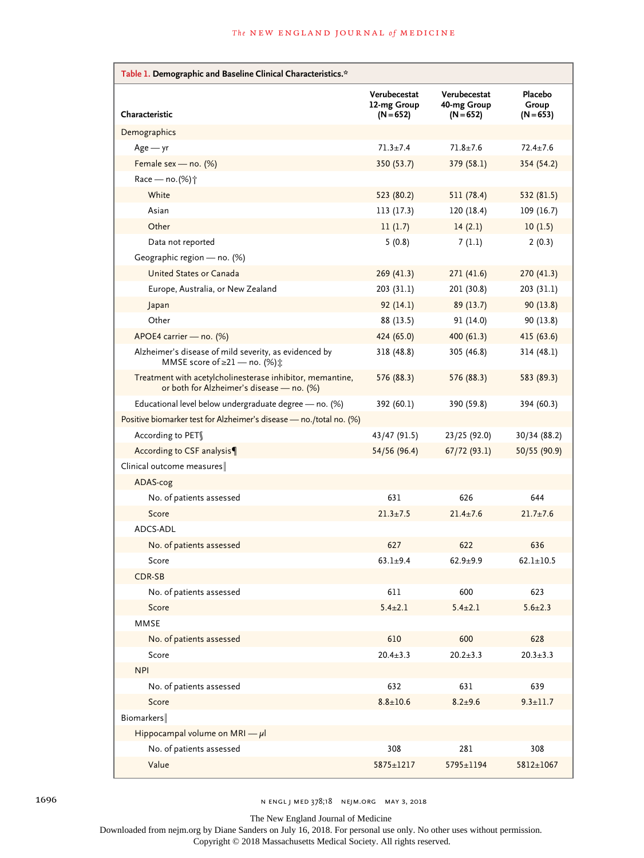| Table 1. Demographic and Baseline Clinical Characteristics.*                                           |                                            |                                            |                                 |
|--------------------------------------------------------------------------------------------------------|--------------------------------------------|--------------------------------------------|---------------------------------|
| Characteristic                                                                                         | Verubecestat<br>12-mg Group<br>$(N = 652)$ | Verubecestat<br>40-mg Group<br>$(N = 652)$ | Placebo<br>Group<br>$(N = 653)$ |
| Demographics                                                                                           |                                            |                                            |                                 |
| $Age - yr$                                                                                             | $71.3 + 7.4$                               | $71.8 + 7.6$                               | $72.4 \pm 7.6$                  |
| Female sex - no. (%)                                                                                   | 350 (53.7)                                 | 379 (58.1)                                 | 354 (54.2)                      |
| $\text{Race}$ — no. (%) $\uparrow$                                                                     |                                            |                                            |                                 |
| White                                                                                                  | 523 (80.2)                                 | 511 (78.4)                                 | 532 (81.5)                      |
| Asian                                                                                                  | 113(17.3)                                  | 120 (18.4)                                 | 109 (16.7)                      |
| Other                                                                                                  | 11(1.7)                                    | 14(2.1)                                    | 10(1.5)                         |
| Data not reported                                                                                      | 5(0.8)                                     | 7(1.1)                                     | 2(0.3)                          |
| Geographic region - no. (%)                                                                            |                                            |                                            |                                 |
| United States or Canada                                                                                | 269 (41.3)                                 | 271(41.6)                                  | 270(41.3)                       |
| Europe, Australia, or New Zealand                                                                      | 203 (31.1)                                 | 201 (30.8)                                 | 203 (31.1)                      |
| Japan                                                                                                  | 92(14.1)                                   | 89(13.7)                                   | 90(13.8)                        |
| Other                                                                                                  | 88 (13.5)                                  | 91 (14.0)                                  | 90 (13.8)                       |
| APOE4 carrier - no. (%)                                                                                | 424 (65.0)                                 | 400(61.3)                                  | 415 (63.6)                      |
| Alzheimer's disease of mild severity, as evidenced by<br>MMSE score of ≥21 — no. (%) $\ddagger$        | 318 (48.8)                                 | 305 (46.8)                                 | 314 (48.1)                      |
| Treatment with acetylcholinesterase inhibitor, memantine,<br>or both for Alzheimer's disease - no. (%) | 576 (88.3)                                 | 576 (88.3)                                 | 583 (89.3)                      |
| Educational level below undergraduate degree - no. (%)                                                 | 392 (60.1)                                 | 390 (59.8)                                 | 394 (60.3)                      |
| Positive biomarker test for Alzheimer's disease - no./total no. (%)                                    |                                            |                                            |                                 |
| According to PET <sub>I</sub>                                                                          | 43/47 (91.5)                               | 23/25 (92.0)                               | 30/34 (88.2)                    |
| According to CSF analysis¶                                                                             | 54/56 (96.4)                               | 67/72(93.1)                                | 50/55 (90.9)                    |
| Clinical outcome measures                                                                              |                                            |                                            |                                 |
| ADAS-cog                                                                                               |                                            |                                            |                                 |
| No. of patients assessed                                                                               | 631                                        | 626                                        | 644                             |
| Score                                                                                                  | $21.3 \pm 7.5$                             | $21.4 \pm 7.6$                             | $21.7 \pm 7.6$                  |
| ADCS-ADL                                                                                               |                                            |                                            |                                 |
| No. of patients assessed                                                                               | 627                                        | 622                                        | 636                             |
| Score                                                                                                  | $63.1 + 9.4$                               | $62.9 + 9.9$                               | $62.1 + 10.5$                   |
| CDR-SB                                                                                                 |                                            |                                            |                                 |
| No. of patients assessed                                                                               | 611                                        | 600                                        | 623                             |
| Score                                                                                                  | $5.4 \pm 2.1$                              | $5.4 \pm 2.1$                              | $5.6 \pm 2.3$                   |
| MMSE                                                                                                   |                                            |                                            |                                 |
| No. of patients assessed                                                                               | 610                                        | 600                                        | 628                             |
| Score                                                                                                  | $20.4 \pm 3.3$                             | $20.2 \pm 3.3$                             | $20.3 \pm 3.3$                  |
| <b>NPI</b>                                                                                             |                                            |                                            |                                 |
| No. of patients assessed                                                                               | 632                                        | 631                                        | 639                             |
| Score                                                                                                  | $8.8 \pm 10.6$                             | $8.2 + 9.6$                                | $9.3 \pm 11.7$                  |
| Biomarkers                                                                                             |                                            |                                            |                                 |
| Hippocampal volume on $MRI - \mu I$                                                                    |                                            |                                            |                                 |
| No. of patients assessed                                                                               | 308                                        | 281                                        | 308                             |
| Value                                                                                                  | 5875±1217                                  | 5795±1194                                  | 5812±1067                       |

1696 n engl j med 378;18 nejm.org May 3, 2018

The New England Journal of Medicine

Downloaded from nejm.org by Diane Sanders on July 16, 2018. For personal use only. No other uses without permission.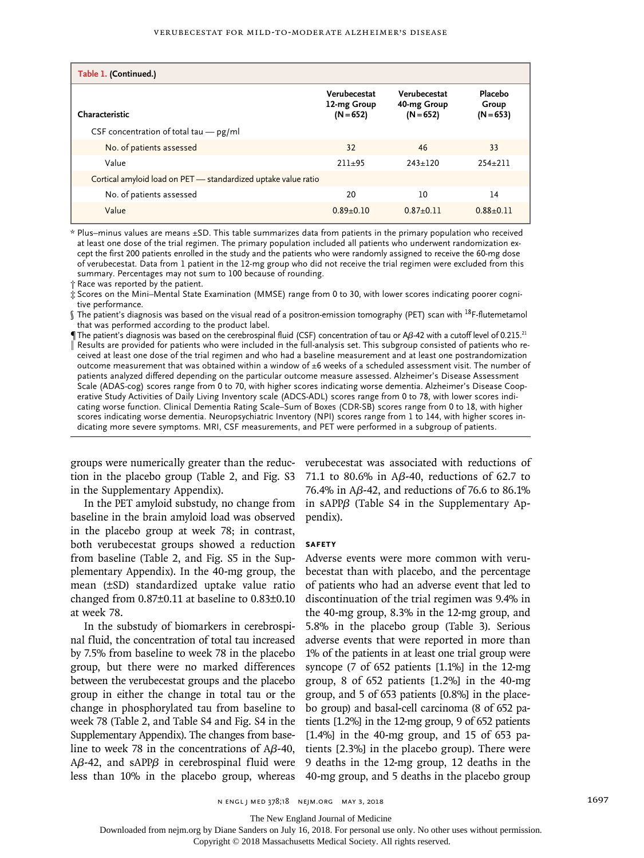| Table 1. (Continued.)                                          |                                            |                                            |                                 |
|----------------------------------------------------------------|--------------------------------------------|--------------------------------------------|---------------------------------|
| Characteristic                                                 | Verubecestat<br>12-mg Group<br>$(N = 652)$ | Verubecestat<br>40-mg Group<br>$(N = 652)$ | Placebo<br>Group<br>$(N = 653)$ |
| CSF concentration of total tau $-$ pg/ml                       |                                            |                                            |                                 |
| No. of patients assessed                                       | 32                                         | 46                                         | 33                              |
| Value                                                          | $211 \pm 95$                               | $243 + 120$                                | $254 + 211$                     |
| Cortical amyloid load on PET - standardized uptake value ratio |                                            |                                            |                                 |
| No. of patients assessed                                       | 20                                         | 10                                         | 14                              |
| Value                                                          | $0.89 + 0.10$                              | $0.87 + 0.11$                              | $0.88 + 0.11$                   |

\* Plus–minus values are means ±SD. This table summarizes data from patients in the primary population who received at least one dose of the trial regimen. The primary population included all patients who underwent randomization except the first 200 patients enrolled in the study and the patients who were randomly assigned to receive the 60-mg dose of verubecestat. Data from 1 patient in the 12-mg group who did not receive the trial regimen were excluded from this summary. Percentages may not sum to 100 because of rounding.

† Race was reported by the patient.

‡ Scores on the Mini–Mental State Examination (MMSE) range from 0 to 30, with lower scores indicating poorer cognitive performance.

 $\mathcal$  The patient's diagnosis was based on the visual read of a positron-emission tomography (PET) scan with <sup>18</sup>F-flutemetamol that was performed according to the product label.

The patient's diagnosis was based on the cerebrospinal fluid (CSF) concentration of tau or A $\beta$ -42 with a cutoff level of 0.215.<sup>21</sup> Results are provided for patients who were included in the full-analysis set. This subgroup consisted of patients who received at least one dose of the trial regimen and who had a baseline measurement and at least one postrandomization outcome measurement that was obtained within a window of ±6 weeks of a scheduled assessment visit. The number of patients analyzed differed depending on the particular outcome measure assessed. Alzheimer's Disease Assessment Scale (ADAS-cog) scores range from 0 to 70, with higher scores indicating worse dementia. Alzheimer's Disease Cooperative Study Activities of Daily Living Inventory scale (ADCS-ADL) scores range from 0 to 78, with lower scores indicating worse function. Clinical Dementia Rating Scale–Sum of Boxes (CDR-SB) scores range from 0 to 18, with higher scores indicating worse dementia. Neuropsychiatric Inventory (NPI) scores range from 1 to 144, with higher scores indicating more severe symptoms. MRI, CSF measurements, and PET were performed in a subgroup of patients.

tion in the placebo group (Table 2, and Fig. S3  $\,$  71.1 to 80.6% in A $\beta$ -40, reductions of 62.7 to in the Supplementary Appendix).

baseline in the brain amyloid load was observed pendix). in the placebo group at week 78; in contrast, both verubecestat groups showed a reduction **Safety** from baseline (Table 2, and Fig. S5 in the Supplementary Appendix). In the 40-mg group, the mean (±SD) standardized uptake value ratio changed from 0.87±0.11 at baseline to 0.83±0.10 at week 78.

In the substudy of biomarkers in cerebrospinal fluid, the concentration of total tau increased by 7.5% from baseline to week 78 in the placebo group, but there were no marked differences between the verubecestat groups and the placebo group in either the change in total tau or the change in phosphorylated tau from baseline to week 78 (Table 2, and Table S4 and Fig. S4 in the Supplementary Appendix). The changes from baseline to week 78 in the concentrations of Aβ-40,  $A\beta$ -42, and sAPP $\beta$  in cerebrospinal fluid were less than 10% in the placebo group, whereas

groups were numerically greater than the reduc-verubecestat was associated with reductions of In the PET amyloid substudy, no change from in sAPP $\beta$  (Table S4 in the Supplementary Ap-76.4% in Aβ-42, and reductions of 76.6 to 86.1%

Adverse events were more common with verubecestat than with placebo, and the percentage of patients who had an adverse event that led to discontinuation of the trial regimen was 9.4% in the 40-mg group, 8.3% in the 12-mg group, and 5.8% in the placebo group (Table 3). Serious adverse events that were reported in more than 1% of the patients in at least one trial group were syncope (7 of 652 patients [1.1%] in the 12-mg group, 8 of 652 patients [1.2%] in the 40-mg group, and 5 of 653 patients [0.8%] in the placebo group) and basal-cell carcinoma (8 of 652 patients [1.2%] in the 12-mg group, 9 of 652 patients [1.4%] in the 40-mg group, and 15 of 653 patients [2.3%] in the placebo group). There were 9 deaths in the 12-mg group, 12 deaths in the 40-mg group, and 5 deaths in the placebo group

n engl j med 378;18 nejm.org May 3, 2018 1697

The New England Journal of Medicine

Downloaded from nejm.org by Diane Sanders on July 16, 2018. For personal use only. No other uses without permission.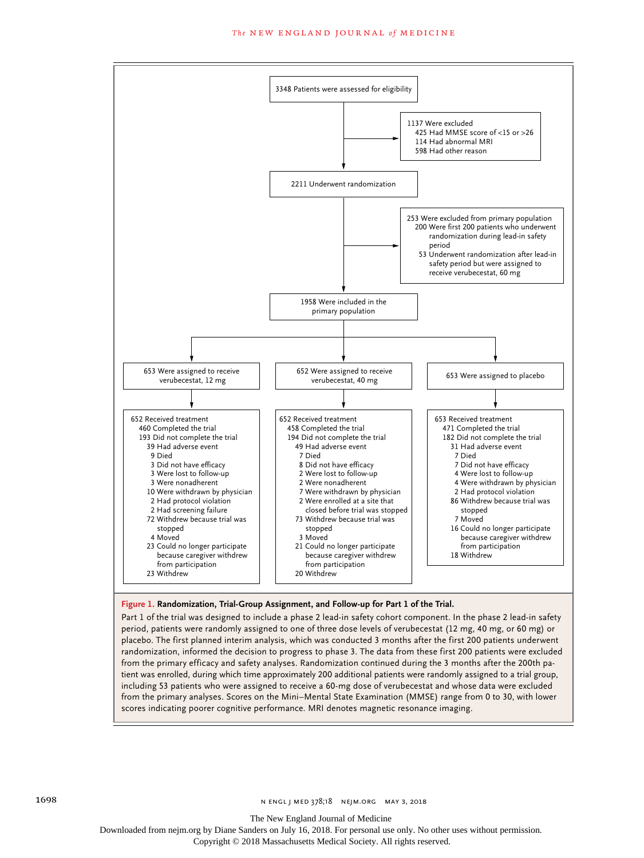



Part 1 of the trial was designed to include a phase 2 lead-in safety cohort component. In the phase 2 lead-in safety period, patients were randomly assigned to one of three dose levels of verubecestat (12 mg, 40 mg, or 60 mg) or placebo. The first planned interim analysis, which was conducted 3 months after the first 200 patients underwent randomization, informed the decision to progress to phase 3. The data from these first 200 patients were excluded from the primary efficacy and safety analyses. Randomization continued during the 3 months after the 200th patient was enrolled, during which time approximately 200 additional patients were randomly assigned to a trial group, including 53 patients who were assigned to receive a 60-mg dose of verubecestat and whose data were excluded from the primary analyses. Scores on the Mini–Mental State Examination (MMSE) range from 0 to 30, with lower scores indicating poorer cognitive performance. MRI denotes magnetic resonance imaging.

The New England Journal of Medicine

Downloaded from nejm.org by Diane Sanders on July 16, 2018. For personal use only. No other uses without permission.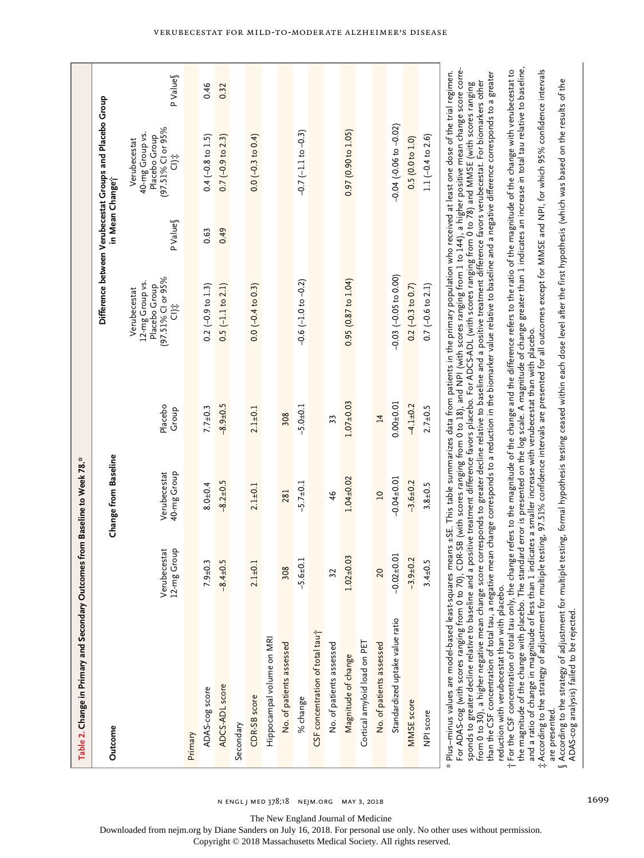| Table 2. Change in Primary and Secondary Outcomes from Baseline to Week 78.*                                                                                                                                                                                                                                                                                                                                                                                                                                                                                                                                                                                                       |                                      |                              |                  |                                                                                                                                                                                                                                                                     |                 |                                                                            |        |
|------------------------------------------------------------------------------------------------------------------------------------------------------------------------------------------------------------------------------------------------------------------------------------------------------------------------------------------------------------------------------------------------------------------------------------------------------------------------------------------------------------------------------------------------------------------------------------------------------------------------------------------------------------------------------------|--------------------------------------|------------------------------|------------------|---------------------------------------------------------------------------------------------------------------------------------------------------------------------------------------------------------------------------------------------------------------------|-----------------|----------------------------------------------------------------------------|--------|
| Outcome                                                                                                                                                                                                                                                                                                                                                                                                                                                                                                                                                                                                                                                                            |                                      | Change from Baseline         |                  |                                                                                                                                                                                                                                                                     | in Mean Changei | Difference between Verubecestat Groups and Placebo Group                   |        |
|                                                                                                                                                                                                                                                                                                                                                                                                                                                                                                                                                                                                                                                                                    | Verubecestat<br>z Group<br>$12 - mg$ | dno-us Gronb<br>Verubecestat | Placebo<br>Group | (97.51% CI or 95%<br>12-mg Group vs.<br>Placebo Group<br>Verubecestat<br>ă                                                                                                                                                                                          | PValue          | (97.51% Cl or 95%<br>40-mg Group vs.<br>Placebo Group<br>Verubecestat<br>ă | PValue |
| Primary                                                                                                                                                                                                                                                                                                                                                                                                                                                                                                                                                                                                                                                                            |                                      |                              |                  |                                                                                                                                                                                                                                                                     |                 |                                                                            |        |
| ADAS-cog score                                                                                                                                                                                                                                                                                                                                                                                                                                                                                                                                                                                                                                                                     | $7.9 \pm 0.3$                        | $8.0 + 0.4$                  | $7.7 + 0.3$      | $0.2$ (-0.9 to 1.3)                                                                                                                                                                                                                                                 | 0.63            | $0.4 (-0.8 \text{ to } 1.5)$                                               | 0.46   |
| ADCS-ADL score                                                                                                                                                                                                                                                                                                                                                                                                                                                                                                                                                                                                                                                                     | $-8.4 \pm 0.5$                       | $-8.2+0.5$                   | $-8.9 + 0.5$     | $0.5 (-1.1 to 2.1)$                                                                                                                                                                                                                                                 | 0.49            | $0.7$ (-0.9 to 2.3)                                                        | 0.32   |
| Secondary                                                                                                                                                                                                                                                                                                                                                                                                                                                                                                                                                                                                                                                                          |                                      |                              |                  |                                                                                                                                                                                                                                                                     |                 |                                                                            |        |
| CDR-SB score                                                                                                                                                                                                                                                                                                                                                                                                                                                                                                                                                                                                                                                                       | $2.1 \pm 0.1$                        | $2.1 + 0.1$                  | $2.1 \pm 0.1$    | $0.0$ $(-0.4$ to $0.3)$                                                                                                                                                                                                                                             |                 | $0.0$ (-0.3 to 0.4)                                                        |        |
| Hippocampal volume on MRI                                                                                                                                                                                                                                                                                                                                                                                                                                                                                                                                                                                                                                                          |                                      |                              |                  |                                                                                                                                                                                                                                                                     |                 |                                                                            |        |
| No. of patients assessed                                                                                                                                                                                                                                                                                                                                                                                                                                                                                                                                                                                                                                                           | 308                                  | 281                          | 308              |                                                                                                                                                                                                                                                                     |                 |                                                                            |        |
| % change                                                                                                                                                                                                                                                                                                                                                                                                                                                                                                                                                                                                                                                                           | $-5.6 + 0.1$                         | $-5.7 + 0.1$                 | $-5.0 + 0.1$     | $-0.6(-1.0 to -0.2)$                                                                                                                                                                                                                                                |                 | $-0.7$ $(-1.1$ to $-0.3)$                                                  |        |
| CSF concentration of total tau <sup>+</sup>                                                                                                                                                                                                                                                                                                                                                                                                                                                                                                                                                                                                                                        |                                      |                              |                  |                                                                                                                                                                                                                                                                     |                 |                                                                            |        |
| No. of patients assessed                                                                                                                                                                                                                                                                                                                                                                                                                                                                                                                                                                                                                                                           | 32                                   | 46                           | 33               |                                                                                                                                                                                                                                                                     |                 |                                                                            |        |
| Magnitude of change                                                                                                                                                                                                                                                                                                                                                                                                                                                                                                                                                                                                                                                                | $1.02 + 0.03$                        | $1.04 + 0.02$                | $1.07 + 0.03$    | 0.95(0.87 to 1.04)                                                                                                                                                                                                                                                  |                 | 0.97 (0.90 to 1.05)                                                        |        |
| Cortical amyloid load on PET                                                                                                                                                                                                                                                                                                                                                                                                                                                                                                                                                                                                                                                       |                                      |                              |                  |                                                                                                                                                                                                                                                                     |                 |                                                                            |        |
| No. of patients assessed                                                                                                                                                                                                                                                                                                                                                                                                                                                                                                                                                                                                                                                           | $\overline{0}$                       | $\overline{a}$               | $\overline{4}$   |                                                                                                                                                                                                                                                                     |                 |                                                                            |        |
| Standardized uptake value ratio                                                                                                                                                                                                                                                                                                                                                                                                                                                                                                                                                                                                                                                    | $-0.02 + 0.01$                       | $-0.04 + 0.01$               | $0.00 + 0.01$    | $-0.03$ $(-0.05$ to 0.00)                                                                                                                                                                                                                                           |                 | $-0.04 (-0.06 to -0.02)$                                                   |        |
| MMSE score                                                                                                                                                                                                                                                                                                                                                                                                                                                                                                                                                                                                                                                                         | $-3.9 \pm 0.2$                       | $-3.6 + 0.2$                 | $-4.1 \pm 0.2$   | $0.2$ (-0.3 to 0.7)                                                                                                                                                                                                                                                 |                 | 0.5(0.0 to 1.0)                                                            |        |
| NPI score                                                                                                                                                                                                                                                                                                                                                                                                                                                                                                                                                                                                                                                                          | $3.4 \pm 0.5$                        | $3.8 + 0.5$                  | $2.7 \pm 0.5$    | $0.7 (-0.6 to 2.1)$                                                                                                                                                                                                                                                 |                 | 1.1 $(-0.4 \text{ to } 2.6)$                                               |        |
| * Plus-minus values are model-based least-squares means ±SE. This table summarizes data from patients in the primary population who received at least one dose of the trial regimen.<br>than the CSF concentration of total tau, a negative mean change corresponds to a reduction in the biomarker value relative to baseline and a negative difference corresponds to a greater<br>from 0 to 30), a higher negative mean change score corresponds to greater decline relative to baseline and a positive treatment difference favors verubecestat. For biomarkers other<br>For ADAS-cog (with scores ranging from 0 to 70)<br>sponds to greater decline relative to baseline and |                                      |                              |                  | CDR-SB (with scores ranging from 0 to 18), and NPI (with scores ranging from 1 to 144), a higher positive mean change score corre-<br>a positive treatment difference favors placebo. For ADCS-ADL (with scores ranging from 0 to 78) and MMSE (with scores ranging |                 |                                                                            |        |

For the CSF concentration of total tau only, the change refers to the magnitude of the change and the difference refers to the raio of the magnitude of the change with verubecestat to For the CSF concentration of total tau only, the change refers to the magnitude of the change and the difference refers to the ratio of the magnitude of the change with verubecestat to than the CSF concentration of total tau, a negative mean change corresponds to a reduction in the biomarker value relative to baseline and a negative difference corresponds to a greater reduction with verubecestat than with placebo. reduction with verubecestat than with placebo.

the magnitude of the change with placebo. The standard error is presented on the log scale. A magnitude of change greater than 1 indicates an increase in total tau relative to baseline, the magnitude of the change with placebo. The standard error is presented on the log scale. A magnitude of change greater than 1 indicates an increase in total tau relative to baseline, and a ratio of change in magnitude of less than 1 indicates a smaller increase with verubecestat than with placebo.<br>‡According to the strategy of adjustment for multiple testing, 97.51% confidence intervals are presented and a ratio of change in magnitude of less than 1 indicates a smaller increase with verubecestat than with placebo.

†

 According to the strategy of adjustment for multiple testing, 97.51% confidence intervals are presented for all outcomes except for MMSE and NPI, for which 95% confidence intervals are presented. are presented. §

According to the strategy of adjustment for multiple testing, formal hypothesis testing ceased within each dose level after the first hypothesis (which was based on the results of the<br>ADAS-cog analysis) failed to be reject According to the strategy of adjustment for multiple testing, formal hypothesis testing ceased within each dose level after the first hypothesis (which was based on the results of the ADAS-cog analysis) failed to be rejected.

n engl j med 378;18 nejm.org May 3, 2018 1699

The New England Journal of Medicine

Downloaded from nejm.org by Diane Sanders on July 16, 2018. For personal use only. No other uses without permission.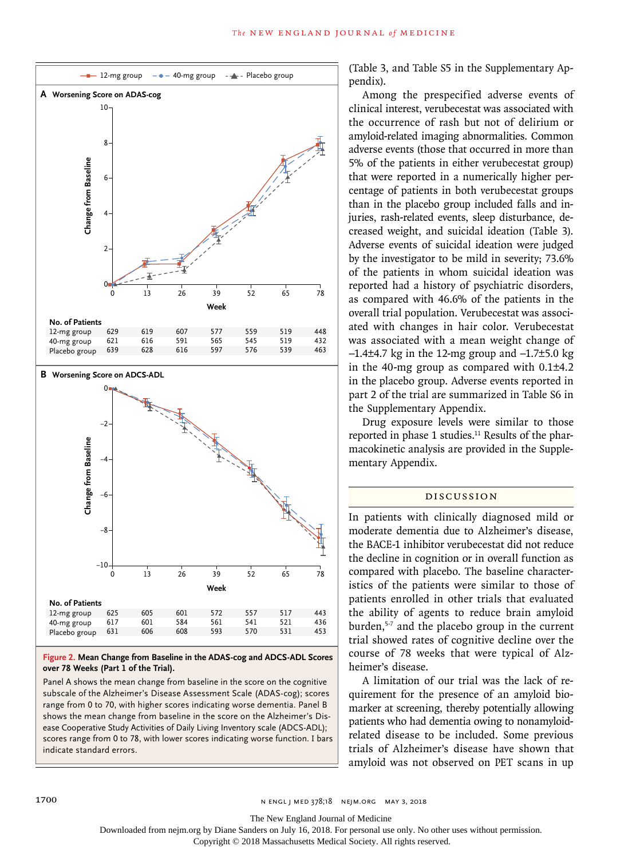

#### **Figure 2. Mean Change from Baseline in the ADAS-cog and ADCS-ADL Scores over 78 Weeks (Part 1 of the Trial).**

Panel A shows the mean change from baseline in the score on the cognitive subscale of the Alzheimer's Disease Assessment Scale (ADAS-cog); scores range from 0 to 70, with higher scores indicating worse dementia. Panel B shows the mean change from baseline in the score on the Alzheimer's Disease Cooperative Study Activities of Daily Living Inventory scale (ADCS-ADL); scores range from 0 to 78, with lower scores indicating worse function. I bars indicate standard errors.

(Table 3, and Table S5 in the Supplementary Appendix).

Among the prespecified adverse events of clinical interest, verubecestat was associated with the occurrence of rash but not of delirium or amyloid-related imaging abnormalities. Common adverse events (those that occurred in more than 5% of the patients in either verubecestat group) that were reported in a numerically higher percentage of patients in both verubecestat groups than in the placebo group included falls and injuries, rash-related events, sleep disturbance, decreased weight, and suicidal ideation (Table 3). Adverse events of suicidal ideation were judged by the investigator to be mild in severity; 73.6% of the patients in whom suicidal ideation was reported had a history of psychiatric disorders, as compared with 46.6% of the patients in the overall trial population. Verubecestat was associated with changes in hair color. Verubecestat was associated with a mean weight change of −1.4±4.7 kg in the 12-mg group and −1.7±5.0 kg in the 40-mg group as compared with 0.1±4.2 in the placebo group. Adverse events reported in part 2 of the trial are summarized in Table S6 in the Supplementary Appendix.

Drug exposure levels were similar to those reported in phase 1 studies.<sup>11</sup> Results of the pharmacokinetic analysis are provided in the Supplementary Appendix.

#### Discussion

In patients with clinically diagnosed mild or moderate dementia due to Alzheimer's disease, the BACE-1 inhibitor verubecestat did not reduce the decline in cognition or in overall function as compared with placebo. The baseline characteristics of the patients were similar to those of patients enrolled in other trials that evaluated the ability of agents to reduce brain amyloid burden,5-7 and the placebo group in the current trial showed rates of cognitive decline over the course of 78 weeks that were typical of Alzheimer's disease.

A limitation of our trial was the lack of requirement for the presence of an amyloid biomarker at screening, thereby potentially allowing patients who had dementia owing to nonamyloidrelated disease to be included. Some previous trials of Alzheimer's disease have shown that amyloid was not observed on PET scans in up

The New England Journal of Medicine

Downloaded from nejm.org by Diane Sanders on July 16, 2018. For personal use only. No other uses without permission.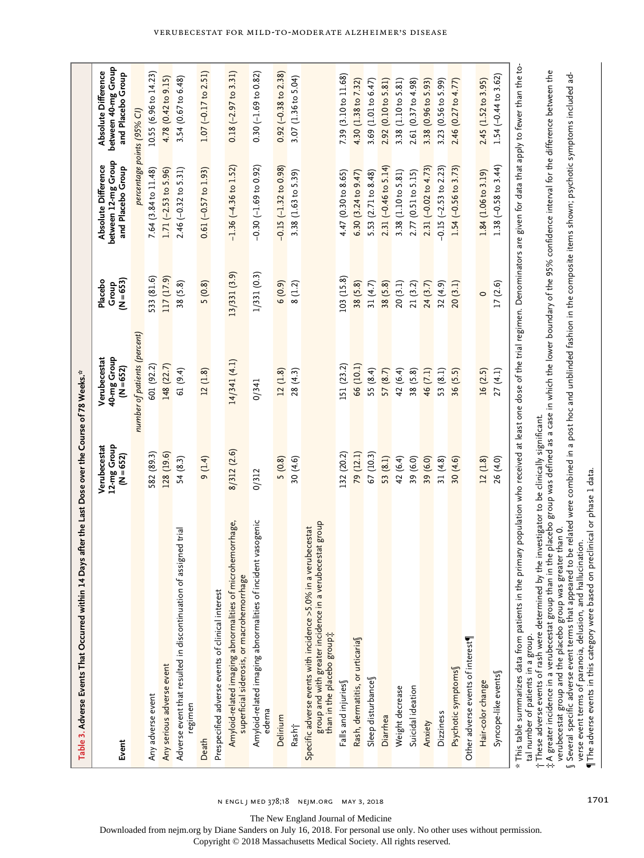| Table 3. Adverse Events That Occurred within 14                                                                                                                                                                                  | Days after the Last Dose over the Course of 78 Weeks.* |                                            |                                 |                                                                 |                                                                 |
|----------------------------------------------------------------------------------------------------------------------------------------------------------------------------------------------------------------------------------|--------------------------------------------------------|--------------------------------------------|---------------------------------|-----------------------------------------------------------------|-----------------------------------------------------------------|
| Event                                                                                                                                                                                                                            | 12-mg Group<br>Verubecestat<br>$(N = 652)$             | 40-mg Group<br>Verubecestat<br>$(N = 652)$ | $(N = 653)$<br>Placebo<br>Group | between 12-mg Group<br>Absolute Difference<br>and Placebo Group | between 40-mg Group<br>Absolute Difference<br>and Placebo Group |
|                                                                                                                                                                                                                                  |                                                        | number of patients (percent)               |                                 | percentage points (95% CI)                                      |                                                                 |
| Any adverse event                                                                                                                                                                                                                | 582 (89.3)                                             | 601 (92.2)                                 | 533 (81.6)                      | 7.64 (3.84 to 11.48)                                            | 10.55 (6.96 to 14.23)                                           |
| Any serious adverse event                                                                                                                                                                                                        | 128 (19.6)                                             | 148 (22.7)                                 | 117 (17.9)                      | $1.71 (-2.53 to 5.96)$                                          | 4.78 (0.42 to 9.15)                                             |
| Adverse event that resulted in discontinuation of assigned trial<br>egimen                                                                                                                                                       | 54 (8.3)                                               | 61 (9.4)                                   | 38(5.8)                         | $2.46$ (-0.32 to 5.31)                                          | 3.54 (0.67 to 6.48)                                             |
| Death                                                                                                                                                                                                                            | 9(1.4)                                                 | 12(1.8)                                    | 5(0.8)                          | $0.61 (-0.57 to 1.93)$                                          | $1.07$ (-0.17 to 2.51)                                          |
| Prespecified adverse events of clinical interest                                                                                                                                                                                 |                                                        |                                            |                                 |                                                                 |                                                                 |
| ohemorrhage,<br>Amyloid-related imaging abnormalities of micr<br>superficial siderosis, or macrohemorrhage                                                                                                                       | 8/312 (2.6)                                            | 14/341(4.1)                                | 13/331(3.9)                     | $-1.36$ $(-4.36$ to $1.52)$                                     | $0.18 (-2.97 to 3.31)$                                          |
| Amyloid-related imaging abnormalities of incident vasogenic<br>edema                                                                                                                                                             | 0/312                                                  | 0/341                                      | 1/331 (0.3)                     | $-0.30(-1.69 to 0.92)$                                          | $0.30 (-1.69 to 0.82)$                                          |
| Delirium                                                                                                                                                                                                                         | 5(0.8)                                                 | 12(1.8)                                    | 6(0.9)                          | $-0.15$ $(-1.32$ to $0.98$ )                                    | $0.92 (-0.38)$ to $2.38$                                        |
| Rashi                                                                                                                                                                                                                            | 30 (4.6)                                               | 28 (4.3)                                   | 8(1.2)                          | 3.38 (1.63 to 5.39)                                             | 3.07 (1.36 to 5.04)                                             |
| group and with greater incidence in a verubecestat group<br>Specific adverse events with incidence >5.0% in a verubecestat<br>than in the placebo group#                                                                         |                                                        |                                            |                                 |                                                                 |                                                                 |
| Falls and injuries                                                                                                                                                                                                               | [32 (20.2)]                                            | 51 (23.2)                                  | 103 (15.8)                      | 4.47 (0.30 to 8.65)                                             | 7.39 (3.10 to 11.68)                                            |
| Rash, dermatitis, or urticarias                                                                                                                                                                                                  | 79 (12.1)                                              | 66 (10.1)                                  | 38(5.8)                         | 6.30 $(3.24 \text{ to } 9.47)$                                  | 4.30 $(1.38 \text{ to } 7.32)$                                  |
| Sleep disturbance                                                                                                                                                                                                                | 67 (10.3)                                              | 55 (8.4)                                   | 31(4.7)                         | 5.53 (2.71 to 8.48)                                             | 3.69 (1.01 to 6.47)                                             |
| Diarrhea                                                                                                                                                                                                                         | 53 (8.1)                                               | 57 (8.7)                                   | 38 (5.8)                        | $2.31 (-0.46 to 5.14)$                                          | 2.92 (0.10 to 5.81)                                             |
| Weight decrease                                                                                                                                                                                                                  | 42 (6.4)                                               | 42 (6.4)                                   | 20(3.1)                         | 3.38 (1.10 to 5.81)                                             | 3.38 (1.10 to 5.81)                                             |
| Suicidal ideation                                                                                                                                                                                                                | 39 (6.0)                                               | 38 (5.8)                                   | 21(3.2)                         | 2.77 (0.51 to 5.15)                                             | 2.61(0.37 to 4.98)                                              |
| Anxiety                                                                                                                                                                                                                          | 39 (6.0)                                               | 46 (7.1)                                   | 24 (3.7)                        | $2.31 (-0.02 to 4.73)$                                          | 3.38 (0.96 to 5.93)                                             |
| Dizziness                                                                                                                                                                                                                        | 31(4.8)                                                | 53 (8.1)                                   | 32 (4.9)                        | $-0.15$ $(-2.53$ to 2.23)                                       | 3.23 (0.56 to 5.99)                                             |
| Psychotic symptoms                                                                                                                                                                                                               | 30(4.6)                                                | 36 (5.5)                                   | 20(3.1)                         | $1.54 (-0.56 to 3.73)$                                          | 2.46 (0.27 to 4.77)                                             |
| Other adverse events of interest                                                                                                                                                                                                 |                                                        |                                            |                                 |                                                                 |                                                                 |
| Hair-color change                                                                                                                                                                                                                | 12(1.8)                                                | 16(2.5)                                    | $\circ$                         | 1.84 (1.06 to 3.19)                                             | 2.45 (1.52 to 3.95)                                             |
| Syncope-like events                                                                                                                                                                                                              | 26 (4.0)                                               | 27(4.1)                                    | 17(2.6)                         | $1.38$ (-0.58 to 3.44)                                          | $1.54 (-0.44 to 3.62)$                                          |
| * This table summarizes data from patients in the primary population who received at least one dose of the trial regimen. Denominators are given for data that apply to fewer than the to-<br>tal number of patients in a group. |                                                        |                                            |                                 |                                                                 |                                                                 |

These adverse events of rash were determined by the investigator to be clinically significant.

verubecestat group and the placebo group was greater than 0.

verubecestat group and the placebo group was greater than 0.

verse event terms of paranoia, delusion, and hallucination.

¶The adverse events in this category were based on preclinical or phase 1 data.

The adverse events in this category were based on preclinical or phase 1 data.

 $\ddagger$  A greater incidence in a verubecestat group than in the placebo group was defined as a case in which the lower boundary of the 95% confidence interval for the difference between the

Several specific adverse event terms that appeared to be related were combined in a post hoc and unblinded fashion in the composite items shown; psychotic symptoms included ad-

Several specific adverse event terms that appeared to be related were combined in a post hoc and unblinded fashion in the composite items shown; psychotic symptoms included adverse event terms of paranoia, delusion, and ha

†‡

§

The New England Journal of Medicine

Downloaded from nejm.org by Diane Sanders on July 16, 2018. For personal use only. No other uses without permission.

Copyright © 2018 Massachusetts Medical Society. All rights reserved.

Verubecestat for Mild-to-Moder ate Alzheimer's Disease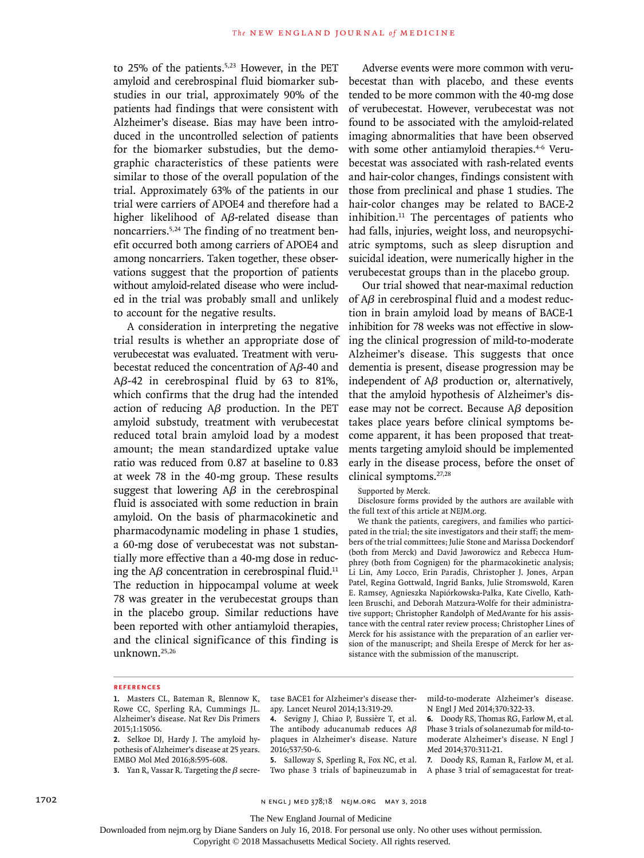to 25% of the patients.5,23 However, in the PET amyloid and cerebrospinal fluid biomarker substudies in our trial, approximately 90% of the patients had findings that were consistent with Alzheimer's disease. Bias may have been introduced in the uncontrolled selection of patients for the biomarker substudies, but the demographic characteristics of these patients were similar to those of the overall population of the trial. Approximately 63% of the patients in our trial were carriers of APOE4 and therefore had a higher likelihood of Aβ-related disease than noncarriers.5,24 The finding of no treatment benefit occurred both among carriers of APOE4 and among noncarriers. Taken together, these observations suggest that the proportion of patients without amyloid-related disease who were included in the trial was probably small and unlikely to account for the negative results.

A consideration in interpreting the negative trial results is whether an appropriate dose of verubecestat was evaluated. Treatment with verubecestat reduced the concentration of Aβ-40 and Aβ-42 in cerebrospinal fluid by 63 to 81%, which confirms that the drug had the intended action of reducing  $A\beta$  production. In the PET amyloid substudy, treatment with verubecestat reduced total brain amyloid load by a modest amount; the mean standardized uptake value ratio was reduced from 0.87 at baseline to 0.83 at week 78 in the 40-mg group. These results suggest that lowering  $A\beta$  in the cerebrospinal fluid is associated with some reduction in brain amyloid. On the basis of pharmacokinetic and pharmacodynamic modeling in phase 1 studies, a 60-mg dose of verubecestat was not substantially more effective than a 40-mg dose in reducing the  $A\beta$  concentration in cerebrospinal fluid.<sup>11</sup> The reduction in hippocampal volume at week 78 was greater in the verubecestat groups than in the placebo group. Similar reductions have been reported with other antiamyloid therapies, and the clinical significance of this finding is unknown.25,26

Adverse events were more common with verubecestat than with placebo, and these events tended to be more common with the 40-mg dose of verubecestat. However, verubecestat was not found to be associated with the amyloid-related imaging abnormalities that have been observed with some other antiamyloid therapies.<sup>4-6</sup> Verubecestat was associated with rash-related events and hair-color changes, findings consistent with those from preclinical and phase 1 studies. The hair-color changes may be related to BACE-2 inhibition.11 The percentages of patients who had falls, injuries, weight loss, and neuropsychiatric symptoms, such as sleep disruption and suicidal ideation, were numerically higher in the verubecestat groups than in the placebo group.

Our trial showed that near-maximal reduction of Aβ in cerebrospinal fluid and a modest reduction in brain amyloid load by means of BACE-1 inhibition for 78 weeks was not effective in slowing the clinical progression of mild-to-moderate Alzheimer's disease. This suggests that once dementia is present, disease progression may be independent of Aβ production or, alternatively, that the amyloid hypothesis of Alzheimer's disease may not be correct. Because Aβ deposition takes place years before clinical symptoms become apparent, it has been proposed that treatments targeting amyloid should be implemented early in the disease process, before the onset of clinical symptoms.27,28

#### Supported by Merck.

Disclosure forms provided by the authors are available with the full text of this article at NEJM.org.

We thank the patients, caregivers, and families who participated in the trial; the site investigators and their staff; the members of the trial committees; Julie Stone and Marissa Dockendorf (both from Merck) and David Jaworowicz and Rebecca Humphrey (both from Cognigen) for the pharmacokinetic analysis; Li Lin, Amy Locco, Erin Paradis, Christopher J. Jones, Arpan Patel, Regina Gottwald, Ingrid Banks, Julie Stromswold, Karen E. Ramsey, Agnieszka Napiórkowska-Pałka, Kate Civello, Kathleen Bruschi, and Deborah Matzura-Wolfe for their administrative support; Christopher Randolph of MedAvante for his assistance with the central rater review process; Christopher Lines of Merck for his assistance with the preparation of an earlier version of the manuscript; and Sheila Erespe of Merck for her assistance with the submission of the manuscript.

#### **References**

- **1.** Masters CL, Bateman R, Blennow K, Rowe CC, Sperling RA, Cummings JL. Alzheimer's disease. Nat Rev Dis Primers 2015;1:15056.
- **2.** Selkoe DJ, Hardy J. The amyloid hypothesis of Alzheimer's disease at 25 years. EMBO Mol Med 2016;8:595-608.
- **3.** Yan R, Vassar R. Targeting the β secre-

tase BACE1 for Alzheimer's disease therapy. Lancet Neurol 2014;13:319-29.

**4.** Sevigny J, Chiao P, Bussière T, et al. The antibody aducanumab reduces Aβ plaques in Alzheimer's disease. Nature 2016;537:50-6.

**5.** Salloway S, Sperling R, Fox NC, et al. Two phase 3 trials of bapineuzumab in mild-to-moderate Alzheimer's disease. N Engl J Med 2014;370:322-33.

**6.** Doody RS, Thomas RG, Farlow M, et al. Phase 3 trials of solanezumab for mild-tomoderate Alzheimer's disease. N Engl J Med 2014;370:311-21.

**7.** Doody RS, Raman R, Farlow M, et al. A phase 3 trial of semagacestat for treat-

The New England Journal of Medicine

Downloaded from nejm.org by Diane Sanders on July 16, 2018. For personal use only. No other uses without permission.